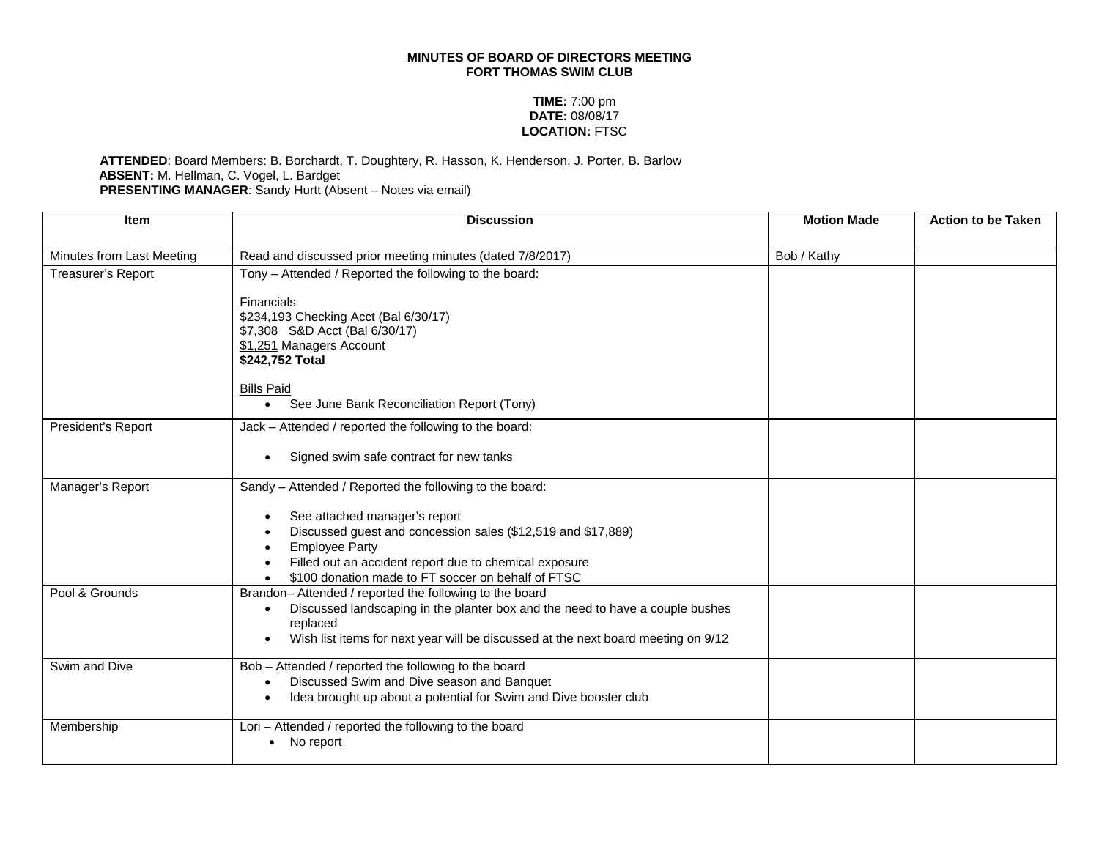## **MINUTES OF BOARD OF DIRECTORS MEETING FORT THOMAS SWIM CLUB**

## **TIME:** 7:00 pm **DATE:** 08/08/17 **LOCATION:** FTSC

## **ATTENDED**: Board Members: B. Borchardt, T. Doughtery, R. Hasson, K. Henderson, J. Porter, B. Barlow **ABSENT:** M. Hellman, C. Vogel, L. Bardget **PRESENTING MANAGER**: Sandy Hurtt (Absent – Notes via email)

| <b>Item</b>               | <b>Discussion</b>                                                                         | <b>Motion Made</b> | <b>Action to be Taken</b> |
|---------------------------|-------------------------------------------------------------------------------------------|--------------------|---------------------------|
| Minutes from Last Meeting | Read and discussed prior meeting minutes (dated 7/8/2017)                                 | Bob / Kathy        |                           |
| Treasurer's Report        | Tony - Attended / Reported the following to the board:                                    |                    |                           |
|                           |                                                                                           |                    |                           |
|                           | Financials                                                                                |                    |                           |
|                           | \$234,193 Checking Acct (Bal 6/30/17)                                                     |                    |                           |
|                           | \$7,308 S&D Acct (Bal 6/30/17)                                                            |                    |                           |
|                           | \$1,251 Managers Account<br>\$242,752 Total                                               |                    |                           |
|                           |                                                                                           |                    |                           |
|                           | <b>Bills Paid</b>                                                                         |                    |                           |
|                           | See June Bank Reconciliation Report (Tony)<br>$\bullet$                                   |                    |                           |
| President's Report        | Jack - Attended / reported the following to the board:                                    |                    |                           |
|                           | Signed swim safe contract for new tanks                                                   |                    |                           |
| Manager's Report          | Sandy - Attended / Reported the following to the board:                                   |                    |                           |
|                           | See attached manager's report                                                             |                    |                           |
|                           | Discussed guest and concession sales (\$12,519 and \$17,889)                              |                    |                           |
|                           | <b>Employee Party</b>                                                                     |                    |                           |
|                           | Filled out an accident report due to chemical exposure                                    |                    |                           |
|                           | \$100 donation made to FT soccer on behalf of FTSC                                        |                    |                           |
| Pool & Grounds            | Brandon-Attended / reported the following to the board                                    |                    |                           |
|                           | Discussed landscaping in the planter box and the need to have a couple bushes<br>replaced |                    |                           |
|                           | Wish list items for next year will be discussed at the next board meeting on 9/12         |                    |                           |
|                           |                                                                                           |                    |                           |
| Swim and Dive             | Bob - Attended / reported the following to the board                                      |                    |                           |
|                           | Discussed Swim and Dive season and Banquet                                                |                    |                           |
|                           | Idea brought up about a potential for Swim and Dive booster club                          |                    |                           |
| Membership                | Lori - Attended / reported the following to the board                                     |                    |                           |
|                           | No report                                                                                 |                    |                           |
|                           |                                                                                           |                    |                           |